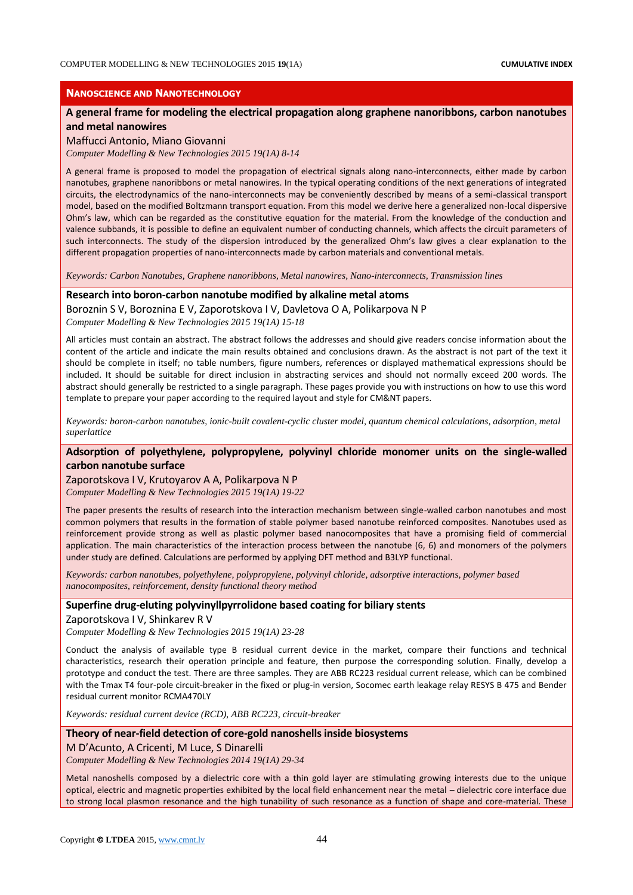## **NANOSCIENCE AND NANOTECHNOLOGY**

# **A general frame for modeling the electrical propagation along graphene nanoribbons, carbon nanotubes and metal nanowires**

#### Maffucci Antonio, Miano Giovanni

*Computer Modelling & New Technologies 2015 19(1A) 8-14*

A general frame is proposed to model the propagation of electrical signals along nano-interconnects, either made by carbon nanotubes, graphene nanoribbons or metal nanowires. In the typical operating conditions of the next generations of integrated circuits, the electrodynamics of the nano-interconnects may be conveniently described by means of a semi-classical transport model, based on the modified Boltzmann transport equation. From this model we derive here a generalized non-local dispersive Ohm's law, which can be regarded as the constitutive equation for the material. From the knowledge of the conduction and valence subbands, it is possible to define an equivalent number of conducting channels, which affects the circuit parameters of such interconnects. The study of the dispersion introduced by the generalized Ohm's law gives a clear explanation to the different propagation properties of nano-interconnects made by carbon materials and conventional metals.

*Keywords: Carbon Nanotubes, Graphene nanoribbons, Metal nanowires, Nano-interconnects, Transmission lines*

## **Research into boron-carbon nanotube modified by alkaline metal atoms**

Boroznin S V, Boroznina E V, Zaporotskova I V, Davletova O A, Polikarpova N P *Computer Modelling & New Technologies 2015 19(1A) 15-18*

All articles must contain an abstract. The abstract follows the addresses and should give readers concise information about the content of the article and indicate the main results obtained and conclusions drawn. As the abstract is not part of the text it should be complete in itself; no table numbers, figure numbers, references or displayed mathematical expressions should be included. It should be suitable for direct inclusion in abstracting services and should not normally exceed 200 words. The abstract should generally be restricted to a single paragraph. These pages provide you with instructions on how to use this word template to prepare your paper according to the required layout and style for CM&NT papers.

*Keywords: boron-carbon nanotubes, ionic-built covalent-cyclic cluster model, quantum chemical calculations, adsorption, metal superlattice*

# **Adsorption of polyethylene, polypropylene, polyvinyl chloride monomer units on the single-walled carbon nanotube surface**

### Zaporotskova I V, Krutoyarov A A, Polikarpova N P

*Computer Modelling & New Technologies 2015 19(1A) 19-22*

The paper presents the results of research into the interaction mechanism between single-walled carbon nanotubes and most common polymers that results in the formation of stable polymer based nanotube reinforced composites. Nanotubes used as reinforcement provide strong as well as plastic polymer based nanocomposites that have a promising field of commercial application. The main characteristics of the interaction process between the nanotube (6, 6) and monomers of the polymers under study are defined. Calculations are performed by applying DFT method and B3LYP functional.

*Keywords: carbon nanotubes, polyethylene, polypropylene, polyvinyl chloride, adsorptive interactions, polymer based nanocomposites, reinforcement, density functional theory method*

## **Superfine drug-eluting polyvinyllpyrrolidone based coating for biliary stents**

Zaporotskova I V, Shinkarev R V

*Computer Modelling & New Technologies 2015 19(1A) 23-28*

Conduct the analysis of available type B residual current device in the market, compare their functions and technical characteristics, research their operation principle and feature, then purpose the corresponding solution. Finally, develop a prototype and conduct the test. There are three samples. They are ABB RC223 residual current release, which can be combined with the Tmax T4 four-pole circuit-breaker in the fixed or plug-in version, Socomec earth leakage relay RESYS B 475 and Bender residual current monitor RCMA470LY

*Keywords: residual current device (RCD), ABB RC223, circuit-breaker*

### **Theory of near-field detection of core-gold nanoshells inside biosystems**

### M D'Acunto, A Cricenti, M Luce, S Dinarelli

*Computer Modelling & New Technologies 2014 19(1A) 29-34*

Metal nanoshells composed by a dielectric core with a thin gold layer are stimulating growing interests due to the unique optical, electric and magnetic properties exhibited by the local field enhancement near the metal – dielectric core interface due to strong local plasmon resonance and the high tunability of such resonance as a function of shape and core-material. These